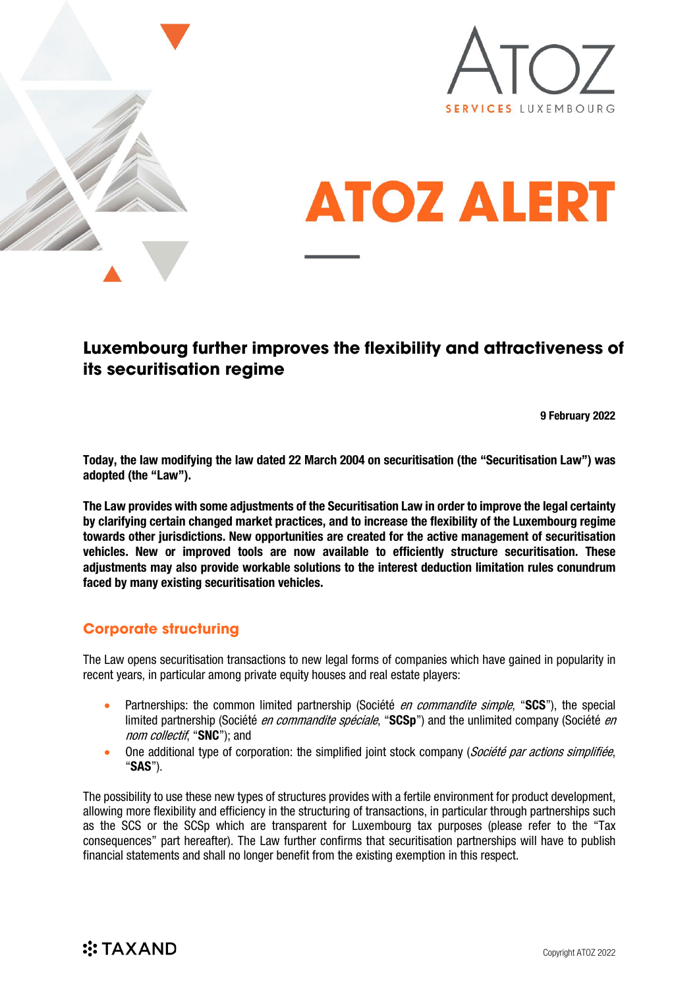





# **Luxembourg further improves the flexibility and attractiveness of its securitisation regime**

9 February 2022

Today, the law modifying the law dated 22 March 2004 on securitisation (the "Securitisation Law") was adopted (the "Law").

The Law provides with some adjustments of the Securitisation Law in order to improve the legal certainty by clarifying certain changed market practices, and to increase the flexibility of the Luxembourg regime towards other jurisdictions. New opportunities are created for the active management of securitisation vehicles. New or improved tools are now available to efficiently structure securitisation. These adjustments may also provide workable solutions to the interest deduction limitation rules conundrum faced by many existing securitisation vehicles.

## **Corporate structuring**

The Law opens securitisation transactions to new legal forms of companies which have gained in popularity in recent years, in particular among private equity houses and real estate players:

- Partnerships: the common limited partnership (Société *en commandite simple*, "SCS"), the special limited partnership (Société *en commandite spéciale*, "SCSp") and the unlimited company (Société *en* nom collectif, "SNC"); and
- One additional type of corporation: the simplified joint stock company (Société par actions simplifiée, "SAS").

The possibility to use these new types of structures provides with a fertile environment for product development, allowing more flexibility and efficiency in the structuring of transactions, in particular through partnerships such as the SCS or the SCSp which are transparent for Luxembourg tax purposes (please refer to the "Tax consequences" part hereafter). The Law further confirms that securitisation partnerships will have to publish financial statements and shall no longer benefit from the existing exemption in this respect.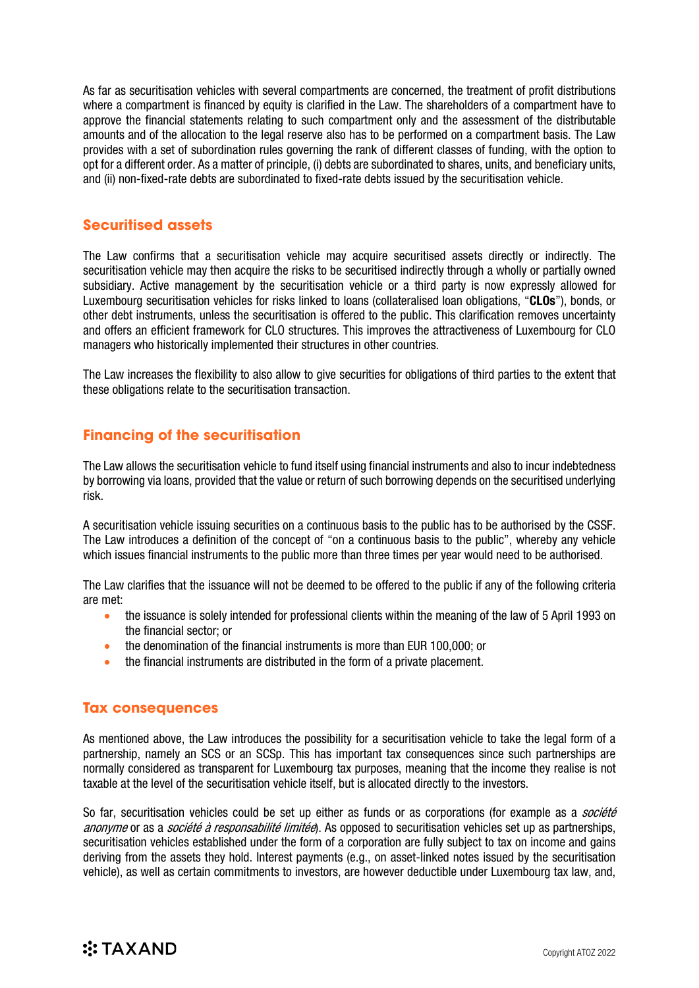As far as securitisation vehicles with several compartments are concerned, the treatment of profit distributions where a compartment is financed by equity is clarified in the Law. The shareholders of a compartment have to approve the financial statements relating to such compartment only and the assessment of the distributable amounts and of the allocation to the legal reserve also has to be performed on a compartment basis. The Law provides with a set of subordination rules governing the rank of different classes of funding, with the option to opt for a different order. As a matter of principle, (i) debts are subordinated to shares, units, and beneficiary units, and (ii) non-fixed-rate debts are subordinated to fixed-rate debts issued by the securitisation vehicle.

#### **Securitised assets**

The Law confirms that a securitisation vehicle may acquire securitised assets directly or indirectly. The securitisation vehicle may then acquire the risks to be securitised indirectly through a wholly or partially owned subsidiary. Active management by the securitisation vehicle or a third party is now expressly allowed for Luxembourg securitisation vehicles for risks linked to loans (collateralised loan obligations, "CLOs"), bonds, or other debt instruments, unless the securitisation is offered to the public. This clarification removes uncertainty and offers an efficient framework for CLO structures. This improves the attractiveness of Luxembourg for CLO managers who historically implemented their structures in other countries.

The Law increases the flexibility to also allow to give securities for obligations of third parties to the extent that these obligations relate to the securitisation transaction.

### **Financing of the securitisation**

The Law allows the securitisation vehicle to fund itself using financial instruments and also to incur indebtedness by borrowing via loans, provided that the value or return of such borrowing depends on the securitised underlying risk.

A securitisation vehicle issuing securities on a continuous basis to the public has to be authorised by the CSSF. The Law introduces a definition of the concept of "on a continuous basis to the public", whereby any vehicle which issues financial instruments to the public more than three times per year would need to be authorised.

The Law clarifies that the issuance will not be deemed to be offered to the public if any of the following criteria are met:

- the issuance is solely intended for professional clients within the meaning of the law of 5 April 1993 on the financial sector; or
- the denomination of the financial instruments is more than EUR 100,000; or
- the financial instruments are distributed in the form of a private placement.

#### **Tax consequences**

As mentioned above, the Law introduces the possibility for a securitisation vehicle to take the legal form of a partnership, namely an SCS or an SCSp. This has important tax consequences since such partnerships are normally considered as transparent for Luxembourg tax purposes, meaning that the income they realise is not taxable at the level of the securitisation vehicle itself, but is allocated directly to the investors.

So far, securitisation vehicles could be set up either as funds or as corporations (for example as a *société* anonyme or as a *société à responsabilité limitée*). As opposed to securitisation vehicles set up as partnerships, securitisation vehicles established under the form of a corporation are fully subject to tax on income and gains deriving from the assets they hold. Interest payments (e.g., on asset-linked notes issued by the securitisation vehicle), as well as certain commitments to investors, are however deductible under Luxembourg tax law, and,